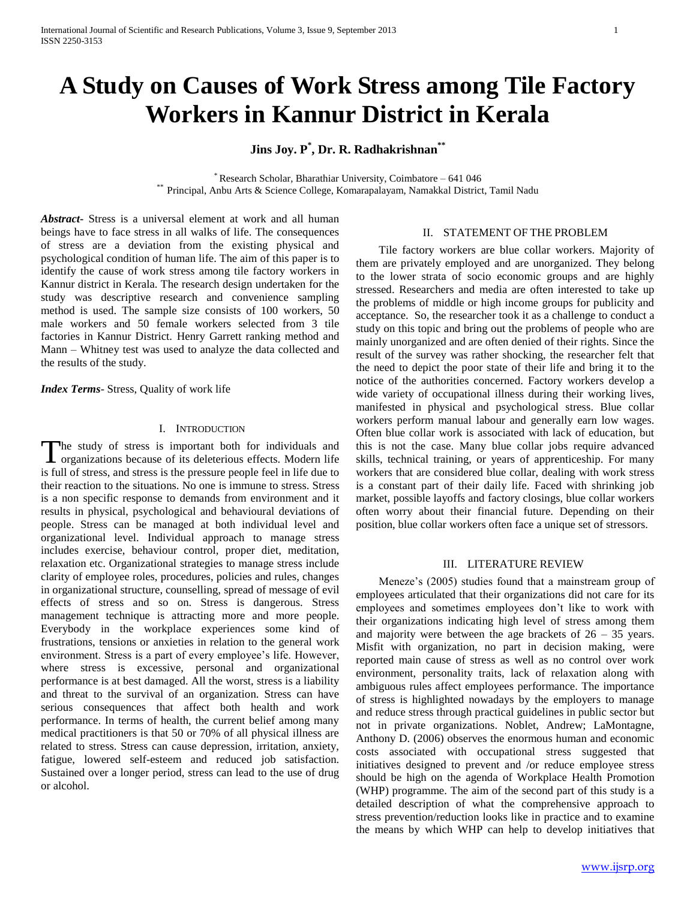# **A Study on Causes of Work Stress among Tile Factory Workers in Kannur District in Kerala**

**Jins Joy. P\* , Dr. R. Radhakrishnan\*\***

\* Research Scholar, Bharathiar University, Coimbatore – 641 046 \*\* Principal, Anbu Arts & Science College, Komarapalayam, Namakkal District, Tamil Nadu

*Abstract***-** Stress is a universal element at work and all human beings have to face stress in all walks of life. The consequences of stress are a deviation from the existing physical and psychological condition of human life. The aim of this paper is to identify the cause of work stress among tile factory workers in Kannur district in Kerala. The research design undertaken for the study was descriptive research and convenience sampling method is used. The sample size consists of 100 workers, 50 male workers and 50 female workers selected from 3 tile factories in Kannur District. Henry Garrett ranking method and Mann – Whitney test was used to analyze the data collected and the results of the study.

*Index Terms*- Stress, Quality of work life

## I. INTRODUCTION

The study of stress is important both for individuals and The study of stress is important both for individuals and organizations because of its deleterious effects. Modern life is full of stress, and stress is the pressure people feel in life due to their reaction to the situations. No one is immune to stress. Stress is a non specific response to demands from environment and it results in physical, psychological and behavioural deviations of people. Stress can be managed at both individual level and organizational level. Individual approach to manage stress includes exercise, behaviour control, proper diet, meditation, relaxation etc. Organizational strategies to manage stress include clarity of employee roles, procedures, policies and rules, changes in organizational structure, counselling, spread of message of evil effects of stress and so on. Stress is dangerous. Stress management technique is attracting more and more people. Everybody in the workplace experiences some kind of frustrations, tensions or anxieties in relation to the general work environment. Stress is a part of every employee's life. However, where stress is excessive, personal and organizational performance is at best damaged. All the worst, stress is a liability and threat to the survival of an organization. Stress can have serious consequences that affect both health and work performance. In terms of health, the current belief among many medical practitioners is that 50 or 70% of all physical illness are related to stress. Stress can cause depression, irritation, anxiety, fatigue, lowered self-esteem and reduced job satisfaction. Sustained over a longer period, stress can lead to the use of drug or alcohol.

#### II. STATEMENT OF THE PROBLEM

 Tile factory workers are blue collar workers. Majority of them are privately employed and are unorganized. They belong to the lower strata of socio economic groups and are highly stressed. Researchers and media are often interested to take up the problems of middle or high income groups for publicity and acceptance. So, the researcher took it as a challenge to conduct a study on this topic and bring out the problems of people who are mainly unorganized and are often denied of their rights. Since the result of the survey was rather shocking, the researcher felt that the need to depict the poor state of their life and bring it to the notice of the authorities concerned. Factory workers develop a wide variety of occupational illness during their working lives, manifested in physical and psychological stress. Blue collar workers perform manual labour and generally earn low wages. Often blue collar work is associated with lack of education, but this is not the case. Many blue collar jobs require advanced skills, technical training, or years of apprenticeship. For many workers that are considered blue collar, dealing with work stress is a constant part of their daily life. Faced with shrinking job market, possible layoffs and factory closings, blue collar workers often worry about their financial future. Depending on their position, blue collar workers often face a unique set of stressors.

## III. LITERATURE REVIEW

 Meneze's (2005) studies found that a mainstream group of employees articulated that their organizations did not care for its employees and sometimes employees don't like to work with their organizations indicating high level of stress among them and majority were between the age brackets of  $26 - 35$  years. Misfit with organization, no part in decision making, were reported main cause of stress as well as no control over work environment, personality traits, lack of relaxation along with ambiguous rules affect employees performance. The importance of stress is highlighted nowadays by the employers to manage and reduce stress through practical guidelines in public sector but not in private organizations. Noblet, Andrew; LaMontagne, Anthony D. (2006) observes the enormous human and economic costs associated with occupational stress suggested that initiatives designed to prevent and /or reduce employee stress should be high on the agenda of Workplace Health Promotion (WHP) programme. The aim of the second part of this study is a detailed description of what the comprehensive approach to stress prevention/reduction looks like in practice and to examine the means by which WHP can help to develop initiatives that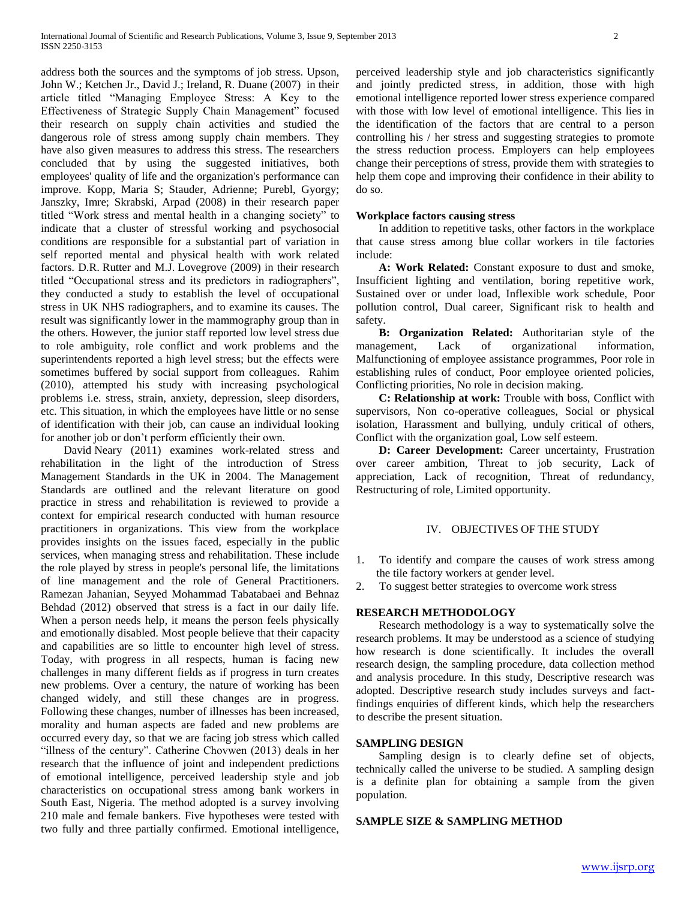address both the sources and the symptoms of job stress. Upson, John W.; Ketchen Jr., David J.; Ireland, R. Duane (2007) in their article titled "Managing Employee Stress: A Key to the Effectiveness of Strategic Supply Chain Management" focused their research on supply chain activities and studied the dangerous role of stress among supply chain members. They have also given measures to address this stress. The researchers concluded that by using the suggested initiatives, both employees' quality of life and the organization's performance can improve. Kopp, Maria S; Stauder, Adrienne; Purebl, Gyorgy; Janszky, Imre; Skrabski, Arpad (2008) in their research paper titled "Work stress and mental health in a changing society" to indicate that a cluster of stressful working and psychosocial conditions are responsible for a substantial part of variation in self reported mental and physical health with work related factors. D.R. Rutter and M.J. Lovegrove (2009) in their research titled "Occupational stress and its predictors in radiographers", they conducted a study to establish the level of occupational stress in UK NHS radiographers, and to examine its causes. The result was significantly lower in the mammography group than in the others. However, the junior staff reported low level stress due to role ambiguity, role conflict and work problems and the superintendents reported a high level stress; but the effects were sometimes buffered by social support from colleagues. Rahim (2010), attempted his study with increasing psychological problems i.e. stress, strain, anxiety, depression, sleep disorders, etc. This situation, in which the employees have little or no sense of identification with their job, can cause an individual looking for another job or don't perform efficiently their own.

 David Neary (2011) examines work-related stress and rehabilitation in the light of the introduction of Stress Management Standards in the UK in 2004. The Management Standards are outlined and the relevant literature on good practice in stress and rehabilitation is reviewed to provide a context for empirical research conducted with human resource practitioners in organizations. This view from the workplace provides insights on the issues faced, especially in the public services, when managing stress and rehabilitation. These include the role played by stress in people's personal life, the limitations of line management and the role of General Practitioners. Ramezan Jahanian, Seyyed Mohammad Tabatabaei and Behnaz Behdad (2012) observed that stress is a fact in our daily life. When a person needs help, it means the person feels physically and emotionally disabled. Most people believe that their capacity and capabilities are so little to encounter high level of stress. Today, with progress in all respects, human is facing new challenges in many different fields as if progress in turn creates new problems. Over a century, the nature of working has been changed widely, and still these changes are in progress. Following these changes, number of illnesses has been increased, morality and human aspects are faded and new problems are occurred every day, so that we are facing job stress which called "illness of the century". Catherine Chovwen (2013) deals in her research that the influence of joint and independent predictions of emotional intelligence, perceived leadership style and job characteristics on occupational stress among bank workers in South East, Nigeria. The method adopted is a survey involving 210 male and female bankers. Five hypotheses were tested with two fully and three partially confirmed. Emotional intelligence,

perceived leadership style and job characteristics significantly and jointly predicted stress, in addition, those with high emotional intelligence reported lower stress experience compared with those with low level of emotional intelligence. This lies in the identification of the factors that are central to a person controlling his / her stress and suggesting strategies to promote the stress reduction process. Employers can help employees change their perceptions of stress, provide them with strategies to help them cope and improving their confidence in their ability to do so.

#### **Workplace factors causing stress**

 In addition to repetitive tasks, other factors in the workplace that cause stress among blue collar workers in tile factories include:

 **A: Work Related:** Constant exposure to dust and smoke, Insufficient lighting and ventilation, boring repetitive work, Sustained over or under load, Inflexible work schedule, Poor pollution control, Dual career, Significant risk to health and safety.

 **B: Organization Related:** Authoritarian style of the management, Lack of organizational information, Malfunctioning of employee assistance programmes, Poor role in establishing rules of conduct, Poor employee oriented policies, Conflicting priorities, No role in decision making.

 **C: Relationship at work:** Trouble with boss, Conflict with supervisors, Non co-operative colleagues, Social or physical isolation, Harassment and bullying, unduly critical of others, Conflict with the organization goal, Low self esteem.

 **D: Career Development:** Career uncertainty, Frustration over career ambition, Threat to job security, Lack of appreciation, Lack of recognition, Threat of redundancy, Restructuring of role, Limited opportunity.

## IV. OBJECTIVES OF THE STUDY

1. To identify and compare the causes of work stress among the tile factory workers at gender level.

2. To suggest better strategies to overcome work stress

# **RESEARCH METHODOLOGY**

 Research methodology is a way to systematically solve the research problems. It may be understood as a science of studying how research is done scientifically. It includes the overall research design, the sampling procedure, data collection method and analysis procedure. In this study, Descriptive research was adopted. Descriptive research study includes surveys and factfindings enquiries of different kinds, which help the researchers to describe the present situation.

#### **SAMPLING DESIGN**

 Sampling design is to clearly define set of objects, technically called the universe to be studied. A sampling design is a definite plan for obtaining a sample from the given population.

## **SAMPLE SIZE & SAMPLING METHOD**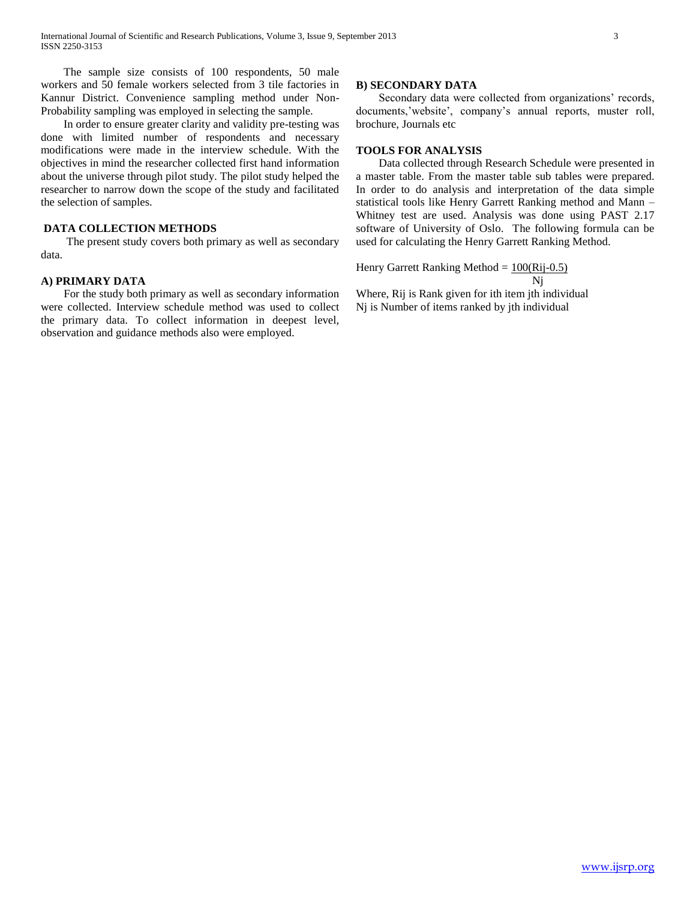The sample size consists of 100 respondents, 50 male workers and 50 female workers selected from 3 tile factories in Kannur District. Convenience sampling method under Non-Probability sampling was employed in selecting the sample.

 In order to ensure greater clarity and validity pre-testing was done with limited number of respondents and necessary modifications were made in the interview schedule. With the objectives in mind the researcher collected first hand information about the universe through pilot study. The pilot study helped the researcher to narrow down the scope of the study and facilitated the selection of samples.

## **DATA COLLECTION METHODS**

 The present study covers both primary as well as secondary data.

# **A) PRIMARY DATA**

 For the study both primary as well as secondary information were collected. Interview schedule method was used to collect the primary data. To collect information in deepest level, observation and guidance methods also were employed.

# **B) SECONDARY DATA**

 Secondary data were collected from organizations' records, documents,'website', company's annual reports, muster roll, brochure, Journals etc

## **TOOLS FOR ANALYSIS**

 Data collected through Research Schedule were presented in a master table. From the master table sub tables were prepared. In order to do analysis and interpretation of the data simple statistical tools like Henry Garrett Ranking method and Mann – Whitney test are used. Analysis was done using PAST 2.17 software of University of Oslo. The following formula can be used for calculating the Henry Garrett Ranking Method.

Henry Garrett Ranking Method =  $100(Ri-0.5)$ Nj

Where, Rij is Rank given for ith item jth individual Nj is Number of items ranked by jth individual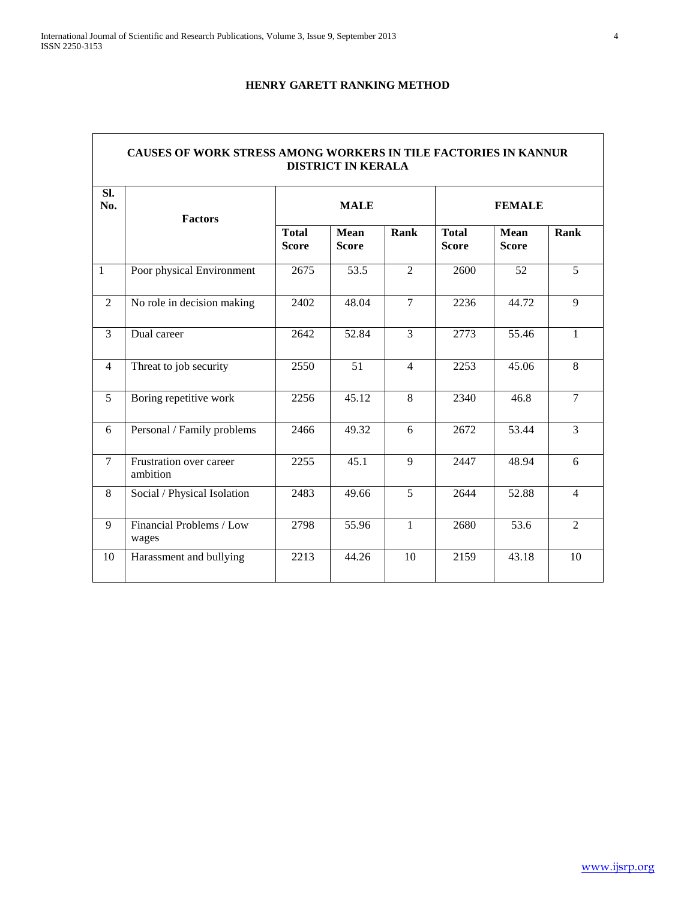# **HENRY GARETT RANKING METHOD**

| SI.<br>No.     | <b>Factors</b>                      |                              | <b>MALE</b>                 |                | <b>FEMALE</b>                |                             |                |  |  |  |
|----------------|-------------------------------------|------------------------------|-----------------------------|----------------|------------------------------|-----------------------------|----------------|--|--|--|
|                |                                     | <b>Total</b><br><b>Score</b> | <b>Mean</b><br><b>Score</b> | Rank           | <b>Total</b><br><b>Score</b> | <b>Mean</b><br><b>Score</b> | Rank           |  |  |  |
| $\mathbf{1}$   | Poor physical Environment           | 2675                         | 53.5                        | $\overline{2}$ | 2600                         | 52                          | 5              |  |  |  |
| 2              | No role in decision making          | 2402                         | 48.04                       | $\tau$         | 2236                         | 44.72                       | 9              |  |  |  |
| $\overline{3}$ | Dual career                         | 2642                         | 52.84                       | 3              | 2773                         | 55.46                       | $\mathbf{1}$   |  |  |  |
| $\overline{4}$ | Threat to job security              | 2550                         | $\overline{51}$             | $\overline{4}$ | 2253                         | 45.06                       | 8              |  |  |  |
| $\overline{5}$ | Boring repetitive work              | 2256                         | 45.12                       | 8              | 2340                         | 46.8                        | $\overline{7}$ |  |  |  |
| 6              | Personal / Family problems          | 2466                         | 49.32                       | 6              | 2672                         | 53.44                       | $\overline{3}$ |  |  |  |
| $\overline{7}$ | Frustration over career<br>ambition | 2255                         | 45.1                        | $\overline{9}$ | 2447                         | 48.94                       | 6              |  |  |  |
| 8              | Social / Physical Isolation         | 2483                         | 49.66                       | 5              | 2644                         | 52.88                       | $\overline{4}$ |  |  |  |
| 9              | Financial Problems / Low<br>wages   | 2798                         | 55.96                       | $\mathbf{1}$   | 2680                         | 53.6                        | $\overline{2}$ |  |  |  |
| 10             | Harassment and bullying             | 2213                         | 44.26                       | 10             | 2159                         | 43.18                       | 10             |  |  |  |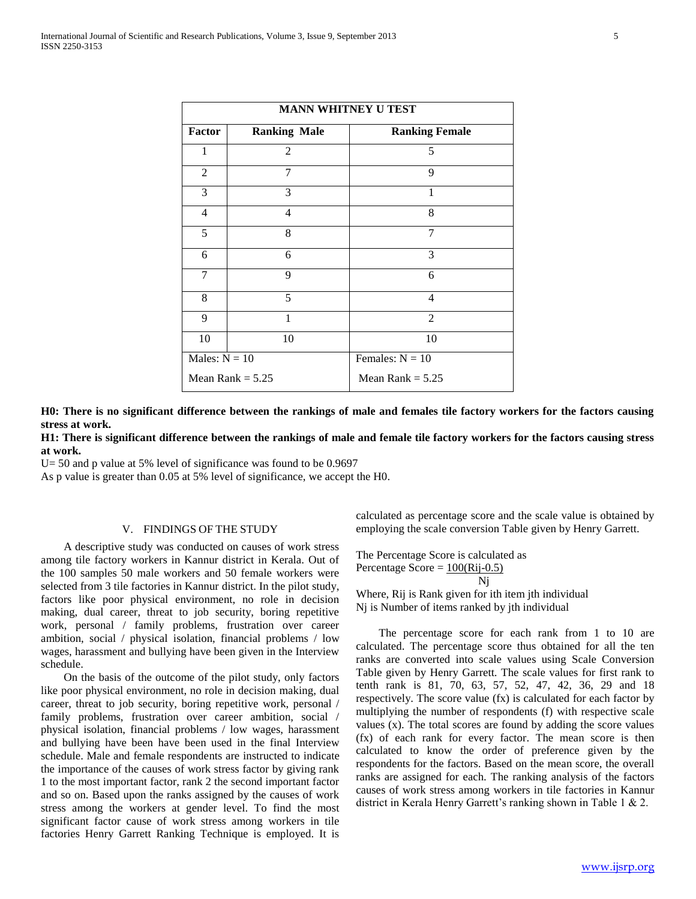|                 |                     | <b>MANN WHITNEY U TEST</b> |
|-----------------|---------------------|----------------------------|
| <b>Factor</b>   | <b>Ranking Male</b> | <b>Ranking Female</b>      |
| 1               | 2                   | 5                          |
| $\overline{2}$  | 7                   | 9                          |
| 3               | 3                   | 1                          |
| $\overline{4}$  | 4                   | 8                          |
| 5               | 8                   | 7                          |
| 6               | 6                   | 3                          |
| 7               | 9                   | 6                          |
| 8               | 5                   | $\overline{4}$             |
| 9               | 1                   | $\overline{2}$             |
| 10              | 10                  | 10                         |
| Males: $N = 10$ |                     | Females: $N = 10$          |
|                 | Mean Rank $= 5.25$  | Mean Rank $= 5.25$         |

**H0: There is no significant difference between the rankings of male and females tile factory workers for the factors causing stress at work.**

**H1: There is significant difference between the rankings of male and female tile factory workers for the factors causing stress at work.**

U= 50 and p value at 5% level of significance was found to be 0.9697

As p value is greater than 0.05 at 5% level of significance, we accept the H0.

## V. FINDINGS OF THE STUDY

 A descriptive study was conducted on causes of work stress among tile factory workers in Kannur district in Kerala. Out of the 100 samples 50 male workers and 50 female workers were selected from 3 tile factories in Kannur district. In the pilot study, factors like poor physical environment, no role in decision making, dual career, threat to job security, boring repetitive work, personal / family problems, frustration over career ambition, social / physical isolation, financial problems / low wages, harassment and bullying have been given in the Interview schedule.

 On the basis of the outcome of the pilot study, only factors like poor physical environment, no role in decision making, dual career, threat to job security, boring repetitive work, personal / family problems, frustration over career ambition, social / physical isolation, financial problems / low wages, harassment and bullying have been have been used in the final Interview schedule. Male and female respondents are instructed to indicate the importance of the causes of work stress factor by giving rank 1 to the most important factor, rank 2 the second important factor and so on. Based upon the ranks assigned by the causes of work stress among the workers at gender level. To find the most significant factor cause of work stress among workers in tile factories Henry Garrett Ranking Technique is employed. It is calculated as percentage score and the scale value is obtained by employing the scale conversion Table given by Henry Garrett.

The Percentage Score is calculated as Percentage Score  $= 100(Ri-0.5)$ Nj

Where, Rij is Rank given for ith item jth individual Nj is Number of items ranked by jth individual

 The percentage score for each rank from 1 to 10 are calculated. The percentage score thus obtained for all the ten ranks are converted into scale values using Scale Conversion Table given by Henry Garrett. The scale values for first rank to tenth rank is 81, 70, 63, 57, 52, 47, 42, 36, 29 and 18 respectively. The score value (fx) is calculated for each factor by multiplying the number of respondents (f) with respective scale values (x). The total scores are found by adding the score values (fx) of each rank for every factor. The mean score is then calculated to know the order of preference given by the respondents for the factors. Based on the mean score, the overall ranks are assigned for each. The ranking analysis of the factors causes of work stress among workers in tile factories in Kannur district in Kerala Henry Garrett's ranking shown in Table 1 & 2.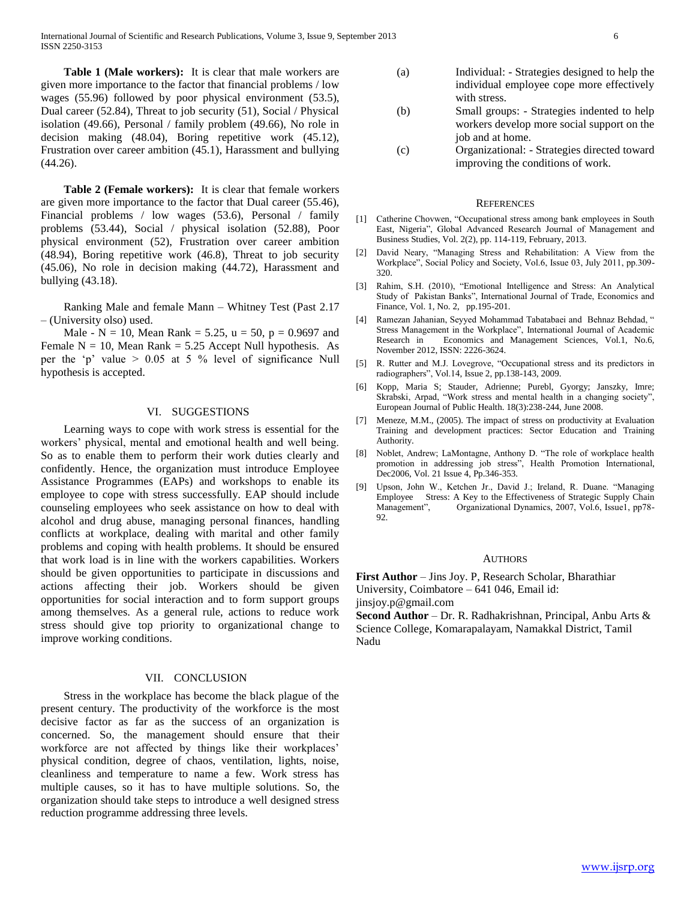International Journal of Scientific and Research Publications, Volume 3, Issue 9, September 2013 6 ISSN 2250-3153

 **Table 1 (Male workers):** It is clear that male workers are given more importance to the factor that financial problems / low wages (55.96) followed by poor physical environment (53.5), Dual career (52.84), Threat to job security (51), Social / Physical isolation (49.66), Personal / family problem (49.66), No role in decision making (48.04), Boring repetitive work (45.12), Frustration over career ambition (45.1), Harassment and bullying (44.26).

 **Table 2 (Female workers):** It is clear that female workers are given more importance to the factor that Dual career (55.46), Financial problems / low wages (53.6), Personal / family problems (53.44), Social / physical isolation (52.88), Poor physical environment (52), Frustration over career ambition (48.94), Boring repetitive work (46.8), Threat to job security (45.06), No role in decision making (44.72), Harassment and bullying (43.18).

 Ranking Male and female Mann – Whitney Test (Past 2.17 – (University olso) used.

Male - N = 10, Mean Rank = 5.25,  $u = 50$ ,  $p = 0.9697$  and Female  $N = 10$ , Mean Rank = 5.25 Accept Null hypothesis. As per the 'p' value > 0.05 at 5 % level of significance Null hypothesis is accepted.

# VI. SUGGESTIONS

 Learning ways to cope with work stress is essential for the workers' physical, mental and emotional health and well being. So as to enable them to perform their work duties clearly and confidently. Hence, the organization must introduce Employee Assistance Programmes (EAPs) and workshops to enable its employee to cope with stress successfully. EAP should include counseling employees who seek assistance on how to deal with alcohol and drug abuse, managing personal finances, handling conflicts at workplace, dealing with marital and other family problems and coping with health problems. It should be ensured that work load is in line with the workers capabilities. Workers should be given opportunities to participate in discussions and actions affecting their job. Workers should be given opportunities for social interaction and to form support groups among themselves. As a general rule, actions to reduce work stress should give top priority to organizational change to improve working conditions.

## VII. CONCLUSION

 Stress in the workplace has become the black plague of the present century. The productivity of the workforce is the most decisive factor as far as the success of an organization is concerned. So, the management should ensure that their workforce are not affected by things like their workplaces' physical condition, degree of chaos, ventilation, lights, noise, cleanliness and temperature to name a few. Work stress has multiple causes, so it has to have multiple solutions. So, the organization should take steps to introduce a well designed stress reduction programme addressing three levels.

- (a) Individual: Strategies designed to help the individual employee cope more effectively with stress.
- (b) Small groups: Strategies indented to help workers develop more social support on the job and at home.
- (c) Organizational: Strategies directed toward improving the conditions of work.

#### **REFERENCES**

- [1] Catherine Chovwen, "Occupational stress among bank employees in South East, Nigeria", Global Advanced Research Journal of Management and Business Studies, Vol. 2(2), pp. 114-119, February, 2013.
- [2] David Neary, "Managing Stress and Rehabilitation: A View from the Workplace", Social Policy and Society, Vol.6, Issue 03, July 2011, pp.309- 320.
- [3] Rahim, S.H. (2010), "Emotional Intelligence and Stress: An Analytical Study of Pakistan Banks", International Journal of Trade, Economics and Finance, Vol. 1, No. 2, pp.195-201.
- Ramezan Jahanian, Seyyed Mohammad Tabatabaei and Behnaz Behdad, " Stress Management in the Workplace", International Journal of Academic Research in Economics and Management Sciences, Vol.1, No.6, November 2012, ISSN: 2226-3624.
- [5] R. Rutter and M.J. Lovegrove, "Occupational stress and its predictors in radiographers", Vol.14, Issue 2, pp.138-143, 2009.
- [6] Kopp, Maria S; Stauder, Adrienne; Purebl, Gyorgy; Janszky, Imre; Skrabski, Arpad, "Work stress and mental health in a changing society", European Journal of Public Health. 18(3):238-244, June 2008.
- [7] Meneze, M.M., (2005). The impact of stress on productivity at Evaluation Training and development practices: Sector Education and Training Authority.
- [8] Noblet, Andrew; LaMontagne, Anthony D. "The role of workplace health promotion in addressing job stress", Health Promotion International, Dec2006, Vol. 21 Issue 4, Pp.346-353.
- [9] Upson, John W., Ketchen Jr., David J.; Ireland, R. Duane. "Managing Employee Stress: A Key to the Effectiveness of Strategic Supply Chain Management", Organizational Dynamics, 2007, Vol.6, Issue1, pp78- 92.

#### AUTHORS

**First Author** – Jins Joy. P, Research Scholar, Bharathiar University, Coimbatore – 641 046, Email id: jinsjoy.p@gmail.com

**Second Author** – Dr. R. Radhakrishnan, Principal, Anbu Arts & Science College, Komarapalayam, Namakkal District, Tamil Nadu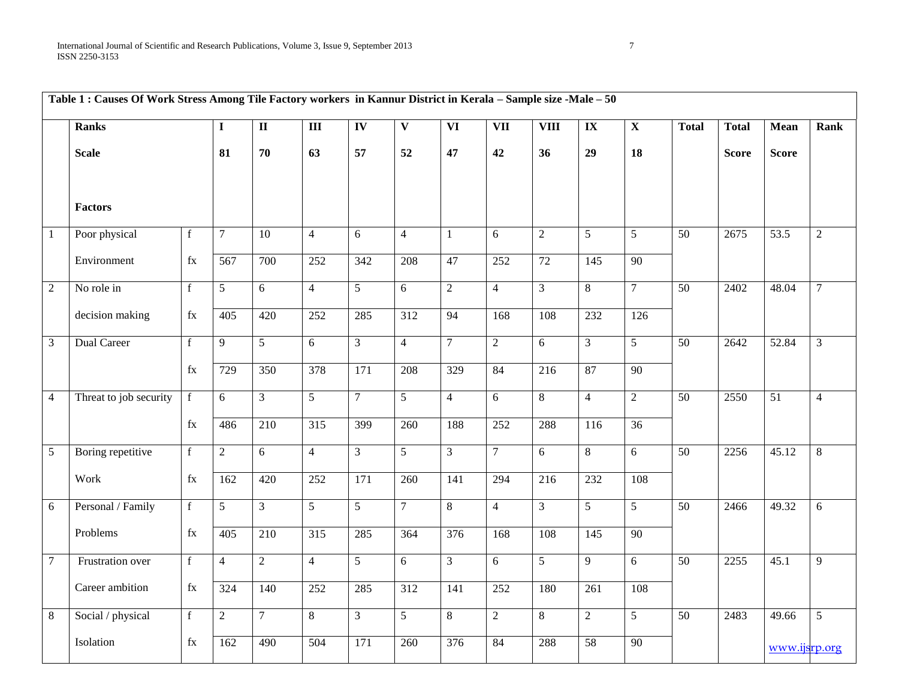|                | Table 1 : Causes Of Work Stress Among Tile Factory workers in Kannur District in Kerala - Sample size -Male - 50 |             |                 |                  |                  |                          |                  |                          |                |                  |                   |                 |                 |              |               |                |
|----------------|------------------------------------------------------------------------------------------------------------------|-------------|-----------------|------------------|------------------|--------------------------|------------------|--------------------------|----------------|------------------|-------------------|-----------------|-----------------|--------------|---------------|----------------|
|                | <b>Ranks</b>                                                                                                     |             | $\mathbf{I}$    | $\mathbf{I}$     | $\overline{m}$   | $\overline{\mathbf{IV}}$ | $\mathbf{V}$     | $\overline{\mathbf{VI}}$ | VII            | <b>VIII</b>      | $\mathbf{IX}$     | $\mathbf X$     | <b>Total</b>    | <b>Total</b> | <b>Mean</b>   | Rank           |
|                | <b>Scale</b>                                                                                                     |             | 81              | 70               | 63               | 57                       | 52               | 47                       | 42             | 36               | 29                | 18              |                 | <b>Score</b> | <b>Score</b>  |                |
|                | Factors                                                                                                          |             |                 |                  |                  |                          |                  |                          |                |                  |                   |                 |                 |              |               |                |
| $\mathbf{1}$   | Poor physical                                                                                                    | $\mathbf f$ | $\tau$          | 10               | $\overline{4}$   | 6                        | $\overline{4}$   | $\mathbf{1}$             | $6\,$          | 2                | $\mathfrak{S}$    | 5               | 50              | 2675         | 53.5          | $\overline{2}$ |
|                | Environment                                                                                                      | fx          | 567             | 700              | 252              | 342                      | 208              | 47                       | 252            | $\overline{72}$  | $\frac{145}{145}$ | $\overline{90}$ |                 |              |               |                |
| $\overline{2}$ | No role in                                                                                                       | f           | 5               | 6                | $\overline{4}$   | 5 <sup>5</sup>           | 6                | $\overline{2}$           | $\overline{4}$ | $\overline{3}$   | 8                 | $\overline{7}$  | $\overline{50}$ | 2402         | 48.04         | $\overline{7}$ |
|                | decision making                                                                                                  | fx          | 405             | 420              | 252              | 285                      | $\overline{312}$ | 94                       | 168            | 108              | 232               | 126             |                 |              |               |                |
| $\mathfrak{Z}$ | Dual Career                                                                                                      | $\mathbf f$ | 9               | $5\overline{)}$  | 6                | 3 <sup>1</sup>           | $\overline{4}$   | $\overline{7}$           | $\overline{2}$ | $6\overline{6}$  | $\mathfrak{Z}$    | 5               | 50              | 2642         | 52.84         | $\overline{3}$ |
|                |                                                                                                                  | $\rm{fx}$   | 729             | 350              | 378              | $\overline{171}$         | 208              | $\frac{1}{329}$          | 84             | $\overline{216}$ | 87                | $\overline{90}$ |                 |              |               |                |
| $\overline{4}$ | Threat to job security                                                                                           | $\mathbf f$ | $\overline{6}$  | $\overline{3}$   | $\overline{5}$   | $\overline{7}$           | $\overline{5}$   | $\overline{4}$           | $\overline{6}$ | $\overline{8}$   | $\overline{4}$    | $\overline{2}$  | 50              | 2550         | 51            | $\overline{4}$ |
|                |                                                                                                                  | $\rm{fx}$   | 486             | $\overline{210}$ | $\overline{315}$ | 399                      | 260              | 188                      | 252            | 288              | 116               | $\overline{36}$ |                 |              |               |                |
| $\overline{5}$ | Boring repetitive                                                                                                | $\mathbf f$ | $\overline{2}$  | 6                | $\overline{4}$   | $\overline{3}$           | 5                | $\overline{3}$           | $\overline{7}$ | 6                | $8\,$             | 6               | $\overline{50}$ | 2256         | 45.12         | 8              |
|                | Work                                                                                                             | fx          | 162             | 420              | 252              | 171                      | $\overline{2}60$ | 141                      | 294            | 216              | 232               | 108             |                 |              |               |                |
| 6              | Personal / Family                                                                                                | $\mathbf f$ | $5\overline{)}$ | $\overline{3}$   | $\overline{5}$   | $\overline{5}$           | $\overline{7}$   | 8                        | $\overline{4}$ | $\overline{3}$   | $\overline{5}$    | $\overline{5}$  | $\overline{50}$ | 2466         | 49.32         | 6              |
|                | Problems                                                                                                         | $f_{X}$     | 405             | $\overline{210}$ | $\overline{315}$ | $\overline{285}$         | $\frac{1}{364}$  | $\overline{376}$         | 168            | 108              | 145               | $\overline{90}$ |                 |              |               |                |
| $\overline{7}$ | Frustration over                                                                                                 | $\mathbf f$ | $\overline{4}$  | $\overline{2}$   | $\overline{4}$   | 5 <sup>5</sup>           | 6                | $\mathfrak{Z}$           | 6              | $\overline{5}$   | 9                 | 6               | $\overline{50}$ | 2255         | 45.1          | 9              |
|                | Career ambition                                                                                                  | fx          | 324             | 140              | 252              | 285                      | $\overline{312}$ | $\overline{141}$         | 252            | 180              | $\overline{261}$  | 108             |                 |              |               |                |
| 8              | Social / physical                                                                                                | f           | $\overline{2}$  | $\mathcal{I}$    | 8                | 3                        | 5                | 8                        | $\overline{2}$ | 8                | $\overline{2}$    | 5               | 50              | 2483         | 49.66         | 5              |
|                | Isolation                                                                                                        | $\rm{fx}$   | 162             | 490              | 504              | $\overline{171}$         | 260              | $\frac{376}{ }$          | 84             | 288              | 58                | $\overline{90}$ |                 |              | www.ijsrp.org |                |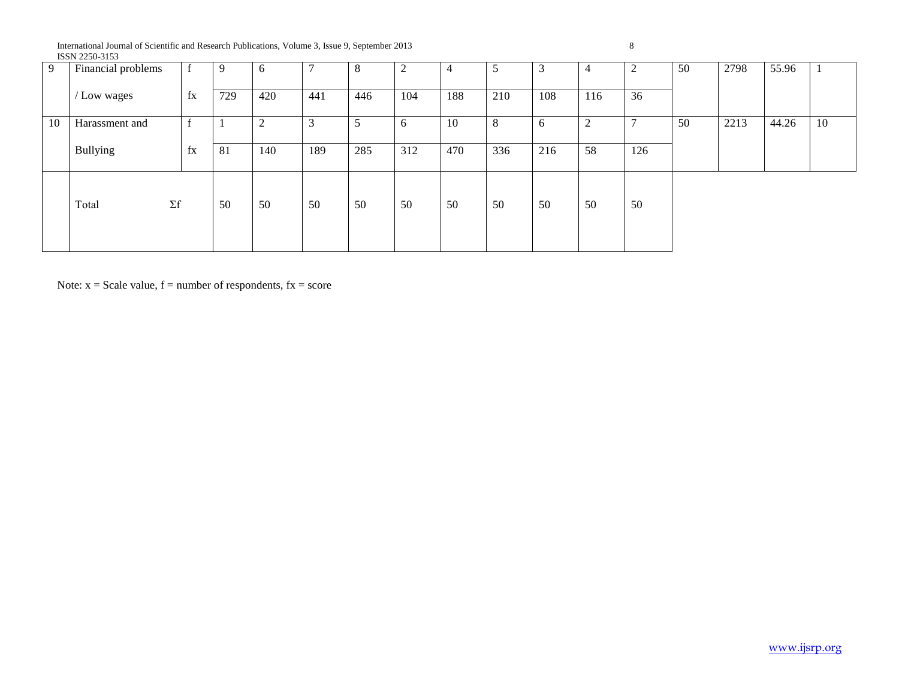International Journal of Scientific and Research Publications, Volume 3, Issue 9, September 2013 8 ISSN 2250-3153

| 9  | Financial problems |              | 9   | 6      |     | 8   | ◠   | 4   | 5   | 3   | 4                  | $\overline{2}$ | 50 | 2798 | 55.96 |    |
|----|--------------------|--------------|-----|--------|-----|-----|-----|-----|-----|-----|--------------------|----------------|----|------|-------|----|
|    | / Low wages        | fx           | 729 | 420    | 441 | 446 | 104 | 188 | 210 | 108 | 116                | 36             |    |      |       |    |
| 10 | Harassment and     | $\mathbf{f}$ |     | ◠<br>∠ |     |     | b   | 10  | 8   | 6   | $\mathcal{D}$<br>∠ | $\overline{ }$ | 50 | 2213 | 44.26 | 10 |
|    | <b>Bullying</b>    | fx           | 81  | 140    | 189 | 285 | 312 | 470 | 336 | 216 | 58                 | 126            |    |      |       |    |
|    | Total              | $\Sigma f$   | 50  | 50     | 50  | 50  | 50  | 50  | 50  | 50  | 50                 | 50             |    |      |       |    |

Note:  $x =$  Scale value,  $f =$  number of respondents,  $fx =$  score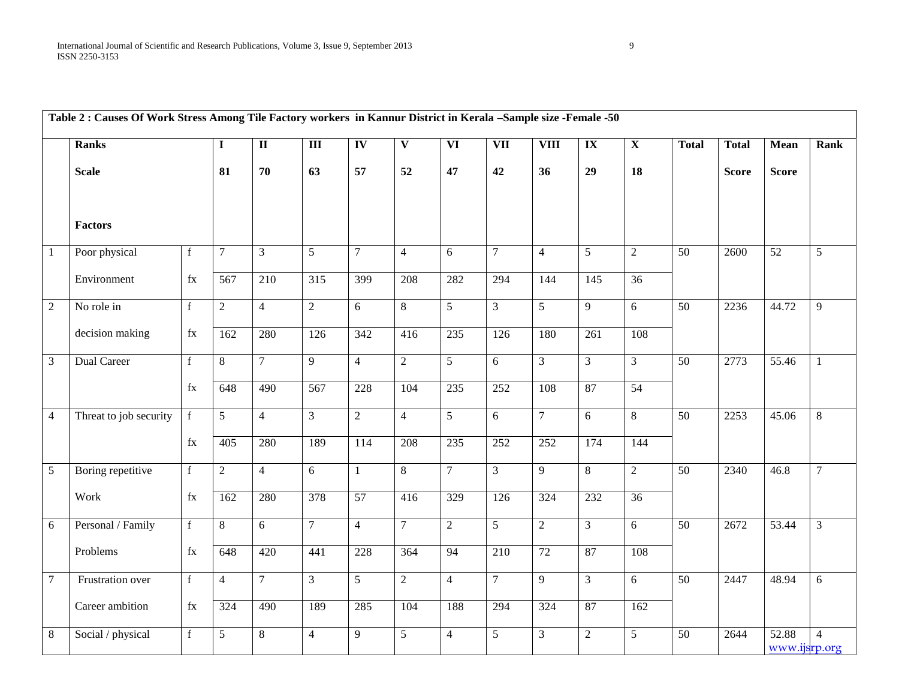|                 | Table 2 : Causes Of Work Stress Among Tile Factory workers in Kannur District in Kerala -Sample size -Female -50 |                                                            |                |                         |                  |                          |                         |                          |                         |                 |                                   |                         |                 |              |                        |                |
|-----------------|------------------------------------------------------------------------------------------------------------------|------------------------------------------------------------|----------------|-------------------------|------------------|--------------------------|-------------------------|--------------------------|-------------------------|-----------------|-----------------------------------|-------------------------|-----------------|--------------|------------------------|----------------|
|                 | <b>Ranks</b>                                                                                                     |                                                            | $\mathbf I$    | $\overline{\mathbf{u}}$ | $\overline{III}$ | $\overline{\mathbf{IV}}$ | $\overline{\mathbf{V}}$ | $\overline{\mathbf{VI}}$ | $\overline{\text{VII}}$ | <b>VIII</b>     | $\overline{\mathbf{I}\mathbf{X}}$ | $\overline{\mathbf{X}}$ | <b>Total</b>    | <b>Total</b> | <b>Mean</b>            | Rank           |
|                 | <b>Scale</b>                                                                                                     |                                                            | 81             | 70                      | 63               | 57                       | 52                      | 47                       | 42                      | 36              | 29                                | 18                      |                 | <b>Score</b> | <b>Score</b>           |                |
|                 | <b>Factors</b>                                                                                                   |                                                            |                |                         |                  |                          |                         |                          |                         |                 |                                   |                         |                 |              |                        |                |
| $\vert 1 \vert$ | Poor physical                                                                                                    | $\mathbf f$                                                | $\overline{7}$ | $\overline{3}$          | 5                | $\tau$                   | $\overline{4}$          | 6                        | $\tau$                  | $\overline{4}$  | $5\overline{)}$                   | $\overline{2}$          | 50              | 2600         | 52                     | 5              |
|                 | Environment                                                                                                      | $\rm{fx}$                                                  | 567            | 210                     | $\overline{315}$ | 399                      | 208                     | 282                      | 294                     | 144             | 145                               | $\overline{36}$         |                 |              |                        |                |
| $\overline{2}$  | No role in                                                                                                       | $\mathbf f$                                                | $\overline{2}$ | $\overline{4}$          | $\overline{2}$   | 6                        | 8                       | $\overline{5}$           | $\overline{3}$          | $\overline{5}$  | $\overline{9}$                    | 6                       | 50              | 2236         | 44.72                  | 9              |
|                 | decision making                                                                                                  | $\rm{fx}$                                                  | 162            | 280                     | 126              | $\overline{342}$         | 416                     | 235                      | 126                     | 180             | 261                               | 108                     |                 |              |                        |                |
| $\overline{3}$  | Dual Career                                                                                                      | $\mathbf f$                                                | 8              | $\overline{7}$          | 9                | $\overline{4}$           | $\overline{2}$          | $\overline{5}$           | 6                       | $\overline{3}$  | $\overline{3}$                    | $\mathfrak{Z}$          | $\overline{50}$ | 2773         | 55.46                  | $\mathbf{1}$   |
|                 |                                                                                                                  | $\rm{fx}$                                                  | 648            | 490                     | 567              | 228                      | 104                     | 235                      | 252                     | 108             | 87                                | 54                      |                 |              |                        |                |
| $\overline{4}$  | Threat to job security                                                                                           | f                                                          | 5              | $\overline{4}$          | $\overline{3}$   | $\overline{2}$           | $\overline{4}$          | 5 <sup>5</sup>           | 6                       | $\overline{7}$  | 6                                 | $8\,$                   | 50              | 2253         | 45.06                  | 8              |
|                 |                                                                                                                  | $\rm{fx}$                                                  | 405            | 280                     | 189              | 114                      | 208                     | 235                      | 252                     | 252             | 174                               | 144                     |                 |              |                        |                |
| $\overline{5}$  | Boring repetitive                                                                                                | f                                                          | $\overline{2}$ | $\overline{4}$          | 6                | $\mathbf{1}$             | 8                       | $\overline{7}$           | 3                       | 9               | 8                                 | $\sqrt{2}$              | 50              | 2340         | 46.8                   | $\overline{7}$ |
|                 | Work                                                                                                             | $\rm{fx}$                                                  | 162            | 280                     | 378              | $\overline{57}$          | 416                     | 329                      | 126                     | 324             | 232                               | $\overline{36}$         |                 |              |                        |                |
| $6\overline{6}$ | Personal / Family                                                                                                | $\overline{f}$                                             | 8              | 6                       | $\overline{7}$   | $\overline{4}$           | $\overline{7}$          | $\overline{2}$           | $\overline{5}$          | $\overline{2}$  | $\overline{3}$                    | 6                       | 50              | 2672         | 53.44                  | $\overline{3}$ |
|                 | Problems                                                                                                         | $\rm{fx}$                                                  | 648            | 420                     | 441              | 228                      | 364                     | 94                       | 210                     | $\overline{72}$ | 87                                | 108                     |                 |              |                        |                |
| $\overline{7}$  | Frustration over                                                                                                 | $\mathbf f$                                                | $\overline{4}$ | $7\overline{ }$         | $\mathfrak{Z}$   | $\overline{5}$           | $\overline{2}$          | $\overline{4}$           | $\tau$                  | $\overline{9}$  | $\overline{3}$                    | $6\,$                   | $\overline{50}$ | 2447         | 48.94                  | 6              |
|                 | Career ambition                                                                                                  | $\ensuremath{\text{f}}\xspace\ensuremath{\text{x}}\xspace$ | 324            | 490                     | 189              | 285                      | 104                     | 188                      | 294                     | 324             | 87                                | 162                     |                 |              |                        |                |
| 8               | Social / physical                                                                                                | $\mathbf f$                                                | 5 <sup>5</sup> | $8\,$                   | $\overline{4}$   | 9                        | 5                       | $\overline{4}$           | 5                       | $\overline{3}$  | $\overline{2}$                    | 5                       | 50              | 2644         | 52.88<br>www.ijsrp.org | $\overline{4}$ |